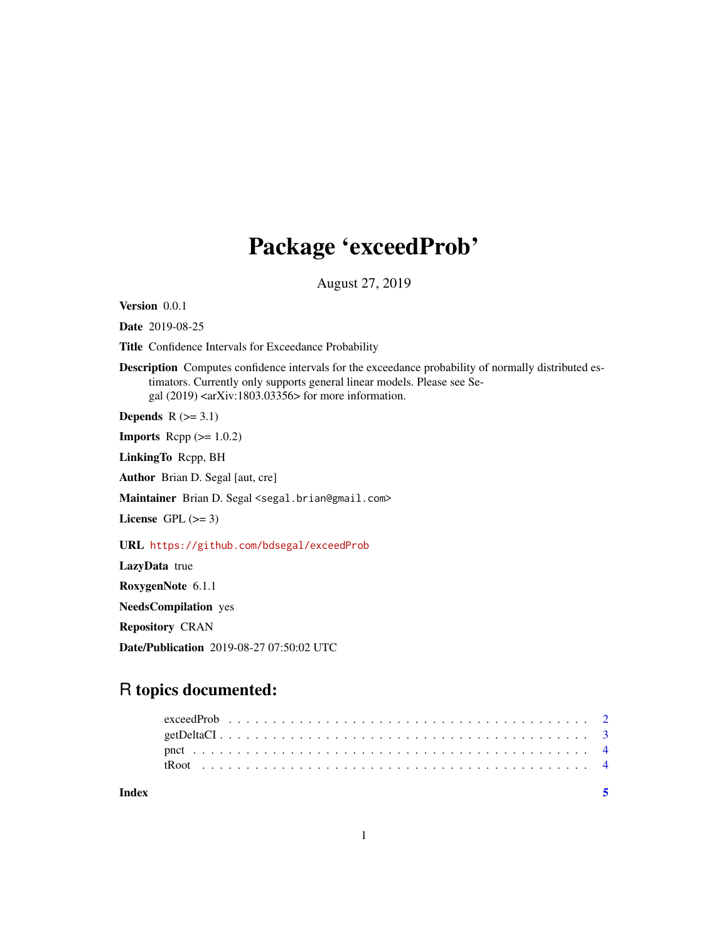## Package 'exceedProb'

August 27, 2019

Version 0.0.1

Date 2019-08-25

Title Confidence Intervals for Exceedance Probability

Description Computes confidence intervals for the exceedance probability of normally distributed estimators. Currently only supports general linear models. Please see Segal  $(2019)$  <arXiv:1803.03356> for more information.

Depends  $R$  ( $>= 3.1$ )

**Imports** Rcpp  $(>= 1.0.2)$ 

LinkingTo Rcpp, BH

Author Brian D. Segal [aut, cre]

Maintainer Brian D. Segal <segal.brian@gmail.com>

License GPL  $(>= 3)$ 

URL <https://github.com/bdsegal/exceedProb>

LazyData true

RoxygenNote 6.1.1

NeedsCompilation yes

Repository CRAN

Date/Publication 2019-08-27 07:50:02 UTC

### R topics documented:

| Index |  |  |  |  |  |  |  |  |  |  |  |  |  |  |  |  |  |  |  |  |  |
|-------|--|--|--|--|--|--|--|--|--|--|--|--|--|--|--|--|--|--|--|--|--|
|       |  |  |  |  |  |  |  |  |  |  |  |  |  |  |  |  |  |  |  |  |  |
|       |  |  |  |  |  |  |  |  |  |  |  |  |  |  |  |  |  |  |  |  |  |
|       |  |  |  |  |  |  |  |  |  |  |  |  |  |  |  |  |  |  |  |  |  |
|       |  |  |  |  |  |  |  |  |  |  |  |  |  |  |  |  |  |  |  |  |  |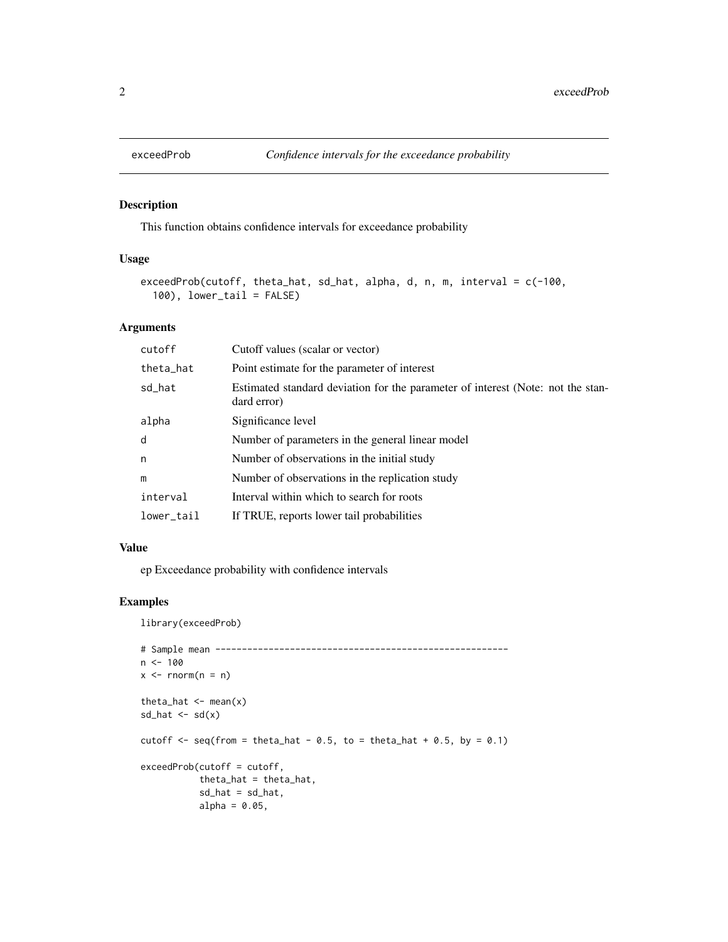<span id="page-1-0"></span>

#### Description

This function obtains confidence intervals for exceedance probability

#### Usage

```
exceedProb(cutoff, theta_hat, sd_hat, alpha, d, n, m, interval = c(-100,
  100), lower_tail = FALSE)
```
#### Arguments

| cutoff     | Cutoff values (scalar or vector)                                                               |
|------------|------------------------------------------------------------------------------------------------|
| theta_hat  | Point estimate for the parameter of interest                                                   |
| sd_hat     | Estimated standard deviation for the parameter of interest (Note: not the stan-<br>dard error) |
| alpha      | Significance level                                                                             |
| d          | Number of parameters in the general linear model                                               |
| n          | Number of observations in the initial study                                                    |
| m          | Number of observations in the replication study                                                |
| interval   | Interval within which to search for roots                                                      |
| lower_tail | If TRUE, reports lower tail probabilities                                                      |

#### Value

ep Exceedance probability with confidence intervals

#### Examples

library(exceedProb)

```
# Sample mean -------------------------------------------------------
n < - 100x \leq -rnorm(n = n)theta_hat \leq mean(x)
sd\_hat \leftarrow sd(x)cutoff \leq seq(from = theta_hat - 0.5, to = theta_hat + 0.5, by = 0.1)
exceedProb(cutoff = cutoff,
           theta_hat = theta_hat,
           sd\_hat = sd\_hat,alpha = 0.05,
```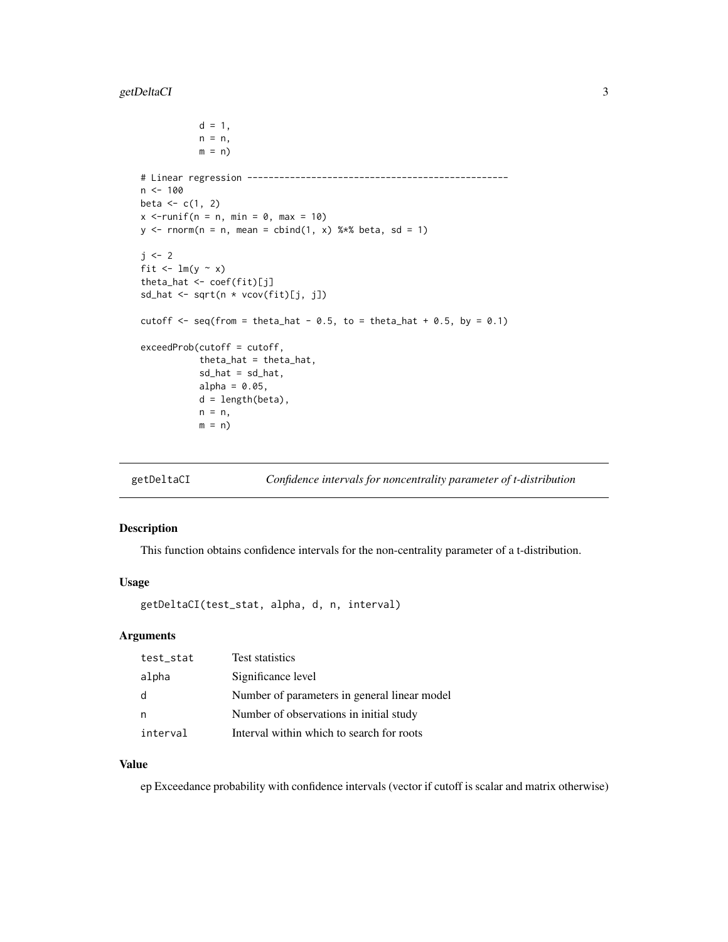#### <span id="page-2-0"></span>getDeltaCI 3

```
d = 1,
           n = n,
           m = n)
# Linear regression -------------------------------------------------
n < -100beta <-c(1, 2)x <-runif(n = n, min = 0, max = 10)
y \le - rnorm(n = n, mean = cbind(1, x) % *% beta, sd = 1)
j \leq -2fit \leftarrow lm(y \sim x)
theta_hat <- coef(fit)[j]
sd_hat <- sqrt(n * vcov(fit)[j, j])
cutoff \leq seq(from = theta_hat - 0.5, to = theta_hat + 0.5, by = 0.1)
exceedProb(cutoff = cutoff,
           theta_hat = theta_hat,
           sd\_hat = sd\_hat,alpha = 0.05,
           d = length(beta),
           n = n,
           m = n)
```
getDeltaCI *Confidence intervals for noncentrality parameter of t-distribution*

#### Description

This function obtains confidence intervals for the non-centrality parameter of a t-distribution.

#### Usage

getDeltaCI(test\_stat, alpha, d, n, interval)

#### Arguments

| test_stat | <b>Test statistics</b>                       |
|-----------|----------------------------------------------|
| alpha     | Significance level                           |
| d         | Number of parameters in general linear model |
| n         | Number of observations in initial study      |
| interval  | Interval within which to search for roots    |

#### Value

ep Exceedance probability with confidence intervals (vector if cutoff is scalar and matrix otherwise)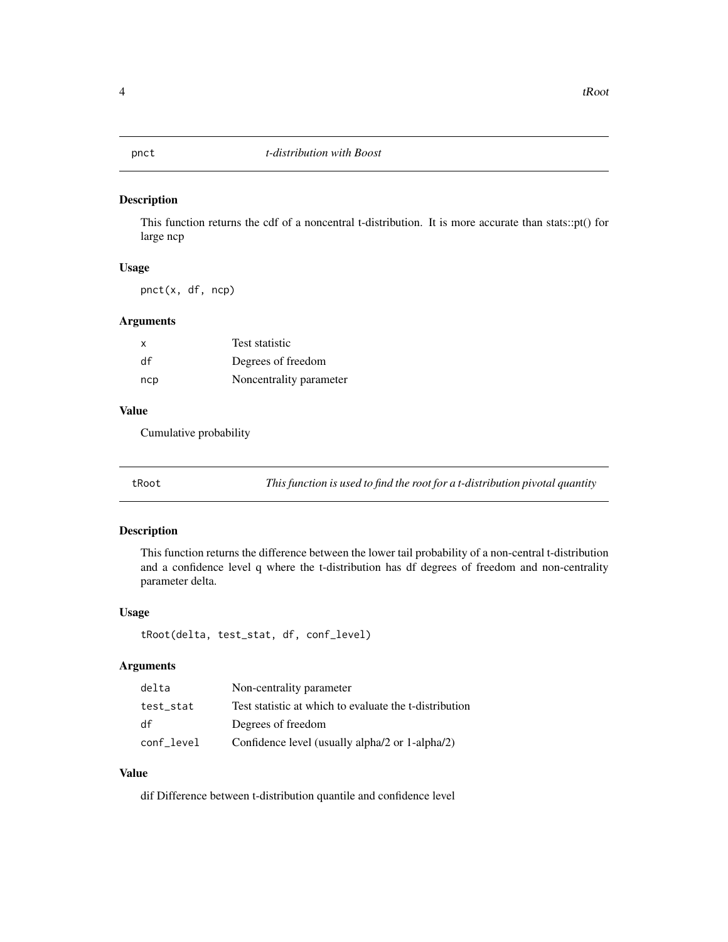<span id="page-3-0"></span>

#### Description

This function returns the cdf of a noncentral t-distribution. It is more accurate than stats::pt() for large ncp

#### Usage

pnct(x, df, ncp)

#### Arguments

| X   | <b>Test statistic</b>   |
|-----|-------------------------|
| df  | Degrees of freedom      |
| ncp | Noncentrality parameter |

#### Value

Cumulative probability

tRoot *This function is used to find the root for a t-distribution pivotal quantity*

#### Description

This function returns the difference between the lower tail probability of a non-central t-distribution and a confidence level q where the t-distribution has df degrees of freedom and non-centrality parameter delta.

#### Usage

tRoot(delta, test\_stat, df, conf\_level)

#### Arguments

| delta      | Non-centrality parameter                               |
|------------|--------------------------------------------------------|
| test stat  | Test statistic at which to evaluate the t-distribution |
| df         | Degrees of freedom                                     |
| conf_level | Confidence level (usually alpha/2 or 1-alpha/2)        |

#### Value

dif Difference between t-distribution quantile and confidence level